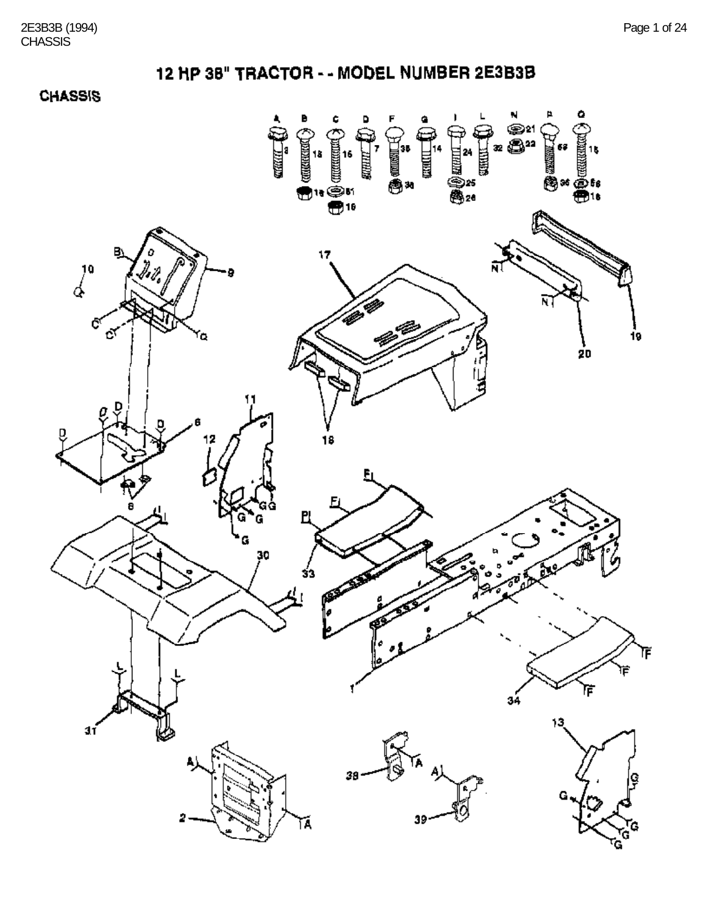**CHASSIS** 

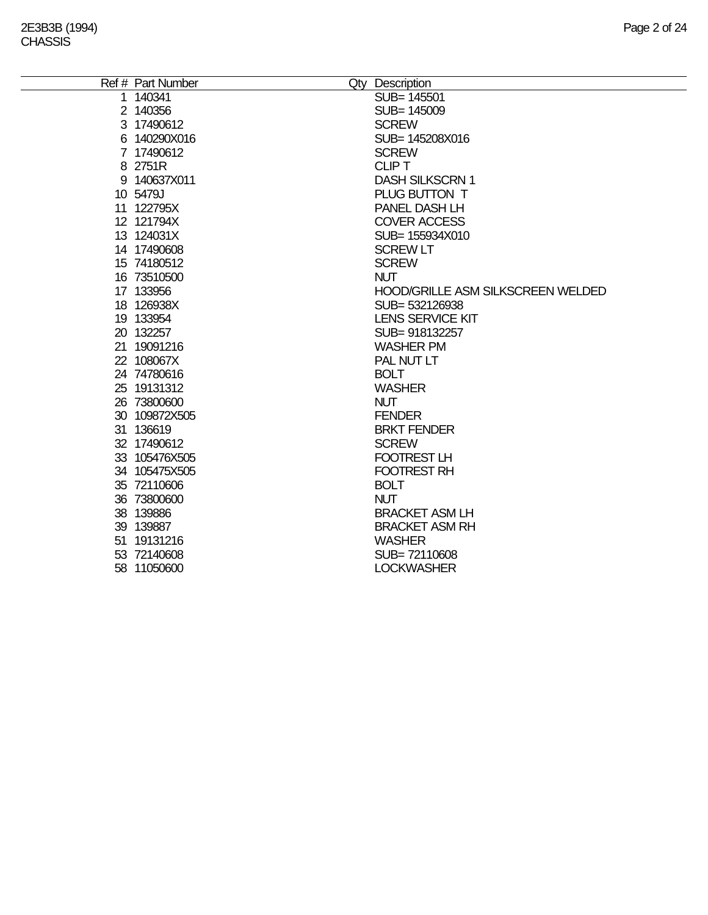÷.

| Ref # Part Number | Qty Description                   |
|-------------------|-----------------------------------|
| 1 140341          | SUB= 145501                       |
| 2 140356          | SUB= 145009                       |
| 3 17490612        | <b>SCREW</b>                      |
| 6 140290X016      | SUB= 145208X016                   |
| 7 17490612        | <b>SCREW</b>                      |
| 8 2751R           | <b>CLIPT</b>                      |
| 9 140637X011      | <b>DASH SILKSCRN 1</b>            |
| 10 5479J          | PLUG BUTTON T                     |
| 11 122795X        | PANEL DASH LH                     |
| 12 121794X        | <b>COVER ACCESS</b>               |
| 13 124031X        | SUB= 155934X010                   |
| 14 17490608       | <b>SCREW LT</b>                   |
| 15 74180512       | <b>SCREW</b>                      |
| 16 73510500       | <b>NUT</b>                        |
| 17 133956         | HOOD/GRILLE ASM SILKSCREEN WELDED |
| 18 126938X        | SUB=532126938                     |
| 19 133954         | <b>LENS SERVICE KIT</b>           |
| 20 132257         | SUB=918132257                     |
| 21 19091216       | <b>WASHER PM</b>                  |
| 22 108067X        | PAL NUT LT                        |
| 24 74780616       | <b>BOLT</b>                       |
| 25 19131312       | <b>WASHER</b>                     |
| 26 73800600       | <b>NUT</b>                        |
| 30 109872X505     | <b>FENDER</b>                     |
| 31 136619         | <b>BRKT FENDER</b>                |
| 32 17490612       | <b>SCREW</b>                      |
| 33 105476X505     | FOOTREST LH                       |
| 34 105475X505     | <b>FOOTREST RH</b>                |
| 35 72110606       | <b>BOLT</b>                       |
| 36 73800600       | <b>NUT</b>                        |
| 38 139886         | <b>BRACKET ASM LH</b>             |
| 39 139887         | <b>BRACKET ASM RH</b>             |
| 51 19131216       | <b>WASHER</b>                     |
| 53 72140608       | SUB=72110608                      |
| 58 11050600       | <b>LOCKWASHER</b>                 |
|                   |                                   |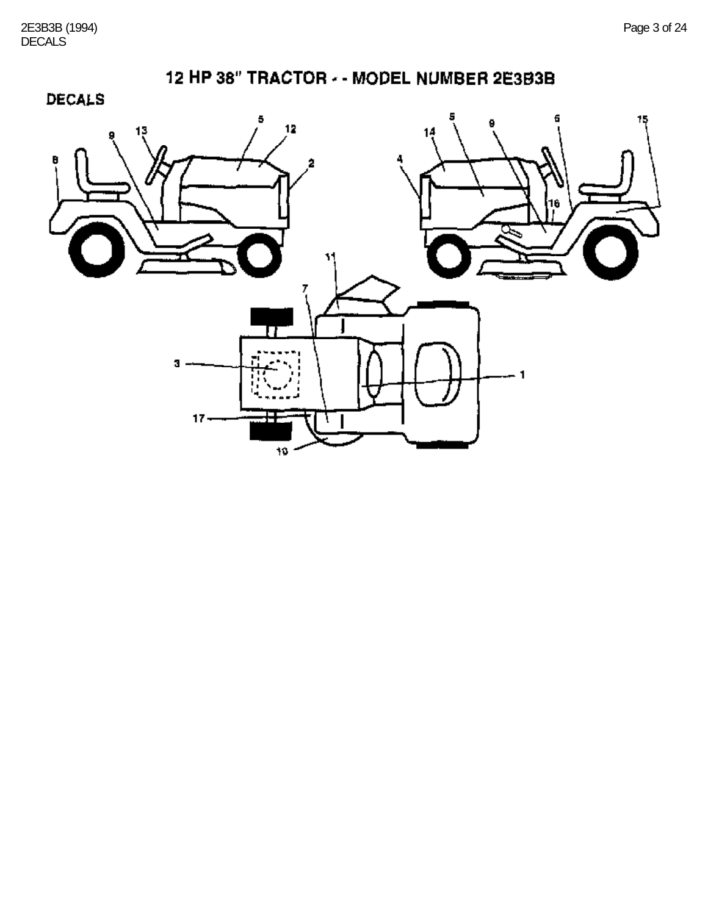

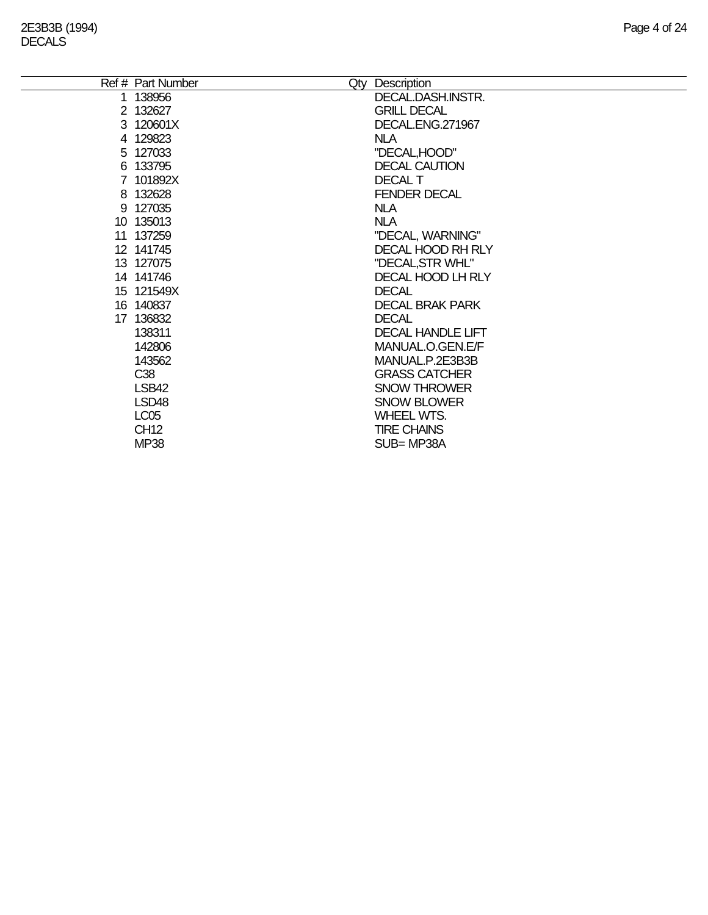| Ref # Part Number | Qty | Description              |
|-------------------|-----|--------------------------|
| 1 138956          |     | DECAL.DASH.INSTR.        |
| 2 132627          |     | <b>GRILL DECAL</b>       |
| 3 120601X         |     | DECAL.ENG.271967         |
| 4 129823          |     | <b>NLA</b>               |
| 5 127033          |     | "DECAL, HOOD"            |
| 6 133795          |     | <b>DECAL CAUTION</b>     |
| 7 101892X         |     | <b>DECAL T</b>           |
| 8 132628          |     | <b>FENDER DECAL</b>      |
| 9 127035          |     | <b>NLA</b>               |
| 10 135013         |     | <b>NLA</b>               |
| 11 137259         |     | "DECAL, WARNING"         |
| 12 141745         |     | <b>DECAL HOOD RH RLY</b> |
| 13 127075         |     | "DECAL, STR WHL"         |
| 14 141746         |     | DECAL HOOD LH RLY        |
| 15 121549X        |     | <b>DECAL</b>             |
| 16 140837         |     | <b>DECAL BRAK PARK</b>   |
| 17 136832         |     | <b>DECAL</b>             |
| 138311            |     | <b>DECAL HANDLE LIFT</b> |
| 142806            |     | MANUAL.O.GEN.E/F         |
| 143562            |     | MANUAL.P.2E3B3B          |
| C <sub>38</sub>   |     | <b>GRASS CATCHER</b>     |
| LSB42             |     | <b>SNOW THROWER</b>      |
| LSD48             |     | <b>SNOW BLOWER</b>       |
| <b>LC05</b>       |     | <b>WHEEL WTS.</b>        |
| <b>CH12</b>       |     | <b>TIRE CHAINS</b>       |
| <b>MP38</b>       |     | SUB=MP38A                |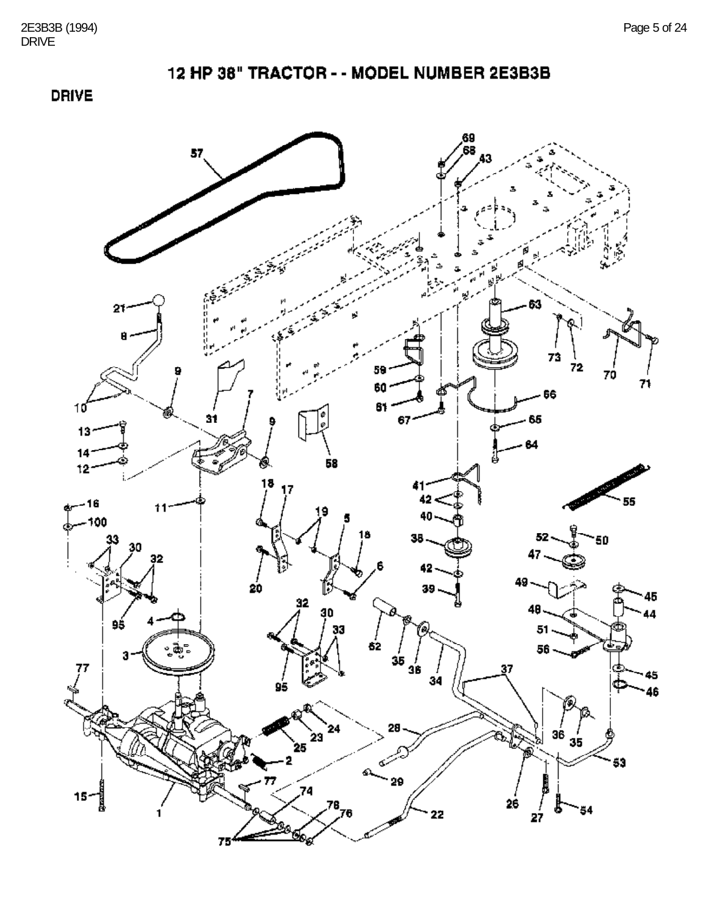**DRIVE** 

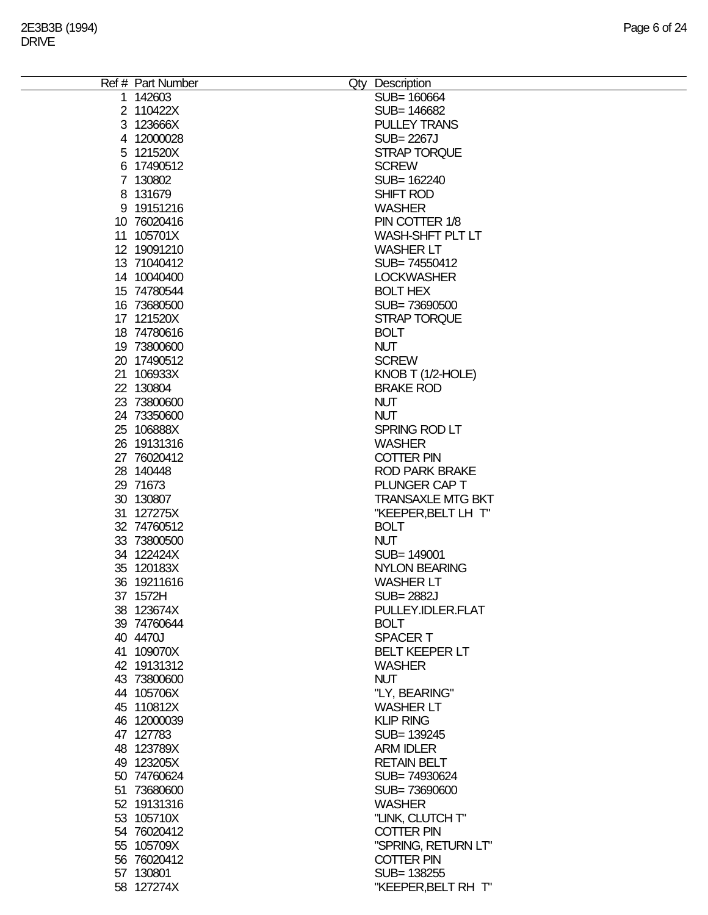| Ref # Part Number | Qty Description          |
|-------------------|--------------------------|
| 1 142603          | SUB= 160664              |
| 2 110422X         | SUB= 146682              |
| 3 123666X         | <b>PULLEY TRANS</b>      |
| 4 12000028        | <b>SUB=2267J</b>         |
| 5 121520X         | <b>STRAP TORQUE</b>      |
| 6 17490512        | <b>SCREW</b>             |
| 7 130802          | SUB= 162240              |
| 8 131679          | SHIFT ROD                |
|                   | <b>WASHER</b>            |
| 9 19151216        |                          |
| 10 76020416       | PIN COTTER 1/8           |
| 11 105701X        | WASH-SHFT PLT LT         |
| 12 19091210       | <b>WASHER LT</b>         |
| 13 71040412       | SUB=74550412             |
| 14 10040400       | <b>LOCKWASHER</b>        |
| 15 74780544       | <b>BOLT HEX</b>          |
| 16 73680500       | SUB=73690500             |
| 17 121520X        | <b>STRAP TORQUE</b>      |
| 18 74780616       | <b>BOLT</b>              |
| 19 73800600       | <b>NUT</b>               |
| 20 17490512       | <b>SCREW</b>             |
| 21 106933X        | KNOB T $(1/2$ -HOLE)     |
| 22 130804         | <b>BRAKE ROD</b>         |
| 23 73800600       | <b>NUT</b>               |
| 24 73350600       | <b>NUT</b>               |
| 25 106888X        | SPRING ROD LT            |
| 26 19131316       | <b>WASHER</b>            |
|                   | <b>COTTER PIN</b>        |
| 27 76020412       |                          |
| 28 140448         | <b>ROD PARK BRAKE</b>    |
| 29 71673          | PLUNGER CAP T            |
| 30 130807         | <b>TRANSAXLE MTG BKT</b> |
| 31 127275X        | "KEEPER, BELT LH T"      |
| 32 74760512       | <b>BOLT</b>              |
| 33 73800500       | <b>NUT</b>               |
| 34 122424X        | SUB= 149001              |
| 35 120183X        | <b>NYLON BEARING</b>     |
| 36 19211616       | <b>WASHER LT</b>         |
| 37 1572H          | <b>SUB=2882J</b>         |
| 38 123674X        | PULLEY.IDLER.FLAT        |
| 39 74760644       | <b>BOLT</b>              |
| 40 4470J          | <b>SPACERT</b>           |
| 41 109070X        | <b>BELT KEEPER LT</b>    |
| 42 19131312       | <b>WASHER</b>            |
| 43 73800600       | <b>NUT</b>               |
| 44 105706X        | "LY, BEARING"            |
| 45 110812X        | <b>WASHER LT</b>         |
| 46 12000039       | <b>KLIP RING</b>         |
|                   |                          |
| 47 127783         | SUB= 139245              |
| 48 123789X        | <b>ARM IDLER</b>         |
| 49 123205X        | <b>RETAIN BELT</b>       |
| 50 74760624       | SUB=74930624             |
| 51 73680600       | SUB=73690600             |
| 52 19131316       | <b>WASHER</b>            |
| 53 105710X        | "LINK, CLUTCH T"         |
| 54 76020412       | <b>COTTER PIN</b>        |
| 55 105709X        | "SPRING, RETURN LT"      |
| 56 76020412       | <b>COTTER PIN</b>        |
| 57 130801         | SUB= 138255              |
| 58 127274X        | "KEEPER, BELT RH T"      |
|                   |                          |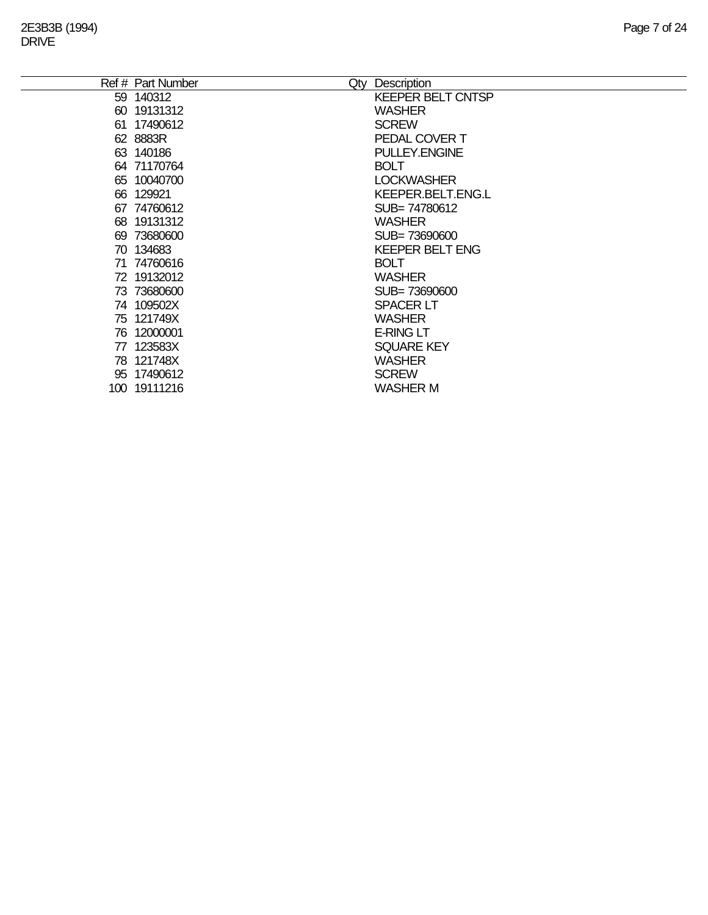| Ref # Part Number | Description<br>Qty       |
|-------------------|--------------------------|
| 59 140312         | <b>KEEPER BELT CNTSP</b> |
| 60 19131312       | <b>WASHER</b>            |
| 61 17490612       | <b>SCREW</b>             |
| 62 8883R          | PEDAL COVER T            |
| 63 140186         | <b>PULLEY.ENGINE</b>     |
| 64 71170764       | <b>BOLT</b>              |
| 65 10040700       | <b>LOCKWASHER</b>        |
| 66 129921         | <b>KEEPER.BELT.ENG.L</b> |
| 67 74760612       | SUB=74780612             |
| 68 19131312       | <b>WASHER</b>            |
| 69 73680600       | SUB= 73690600            |
| 70 134683         | <b>KEEPER BELT ENG</b>   |
| 71 74760616       | <b>BOLT</b>              |
| 72 19132012       | <b>WASHER</b>            |
| 73 73680600       | SUB=73690600             |
| 74 109502X        | <b>SPACER LT</b>         |
| 75 121749X        | <b>WASHER</b>            |
| 76 12000001       | <b>E-RING LT</b>         |
| 77 123583X        | <b>SQUARE KEY</b>        |
| 78 121748X        | <b>WASHER</b>            |
| 95 17490612       | <b>SCREW</b>             |
| 100 19111216      | <b>WASHER M</b>          |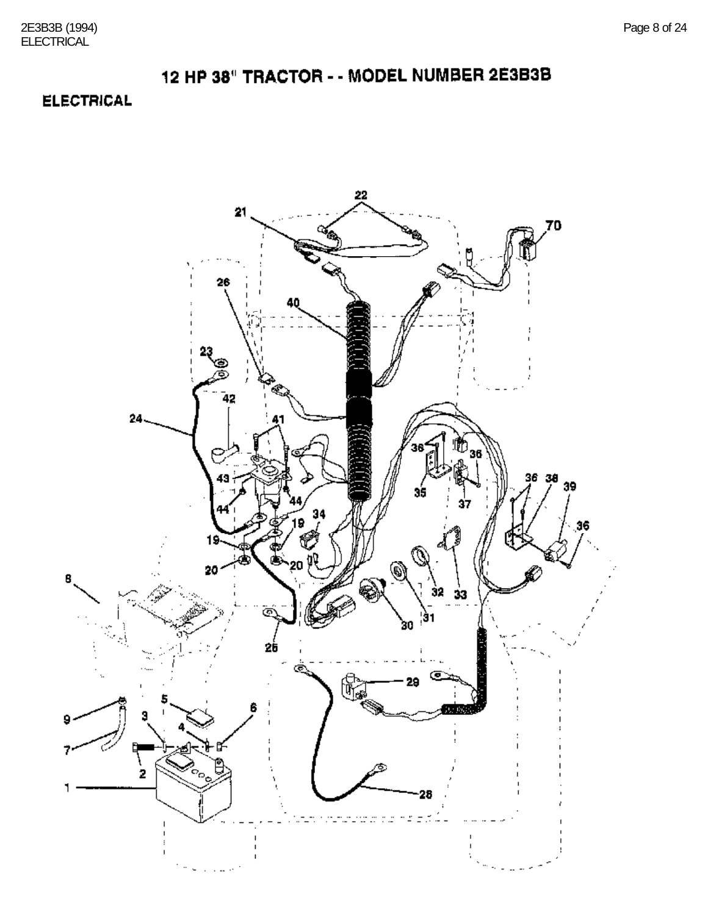### **ELECTRICAL**

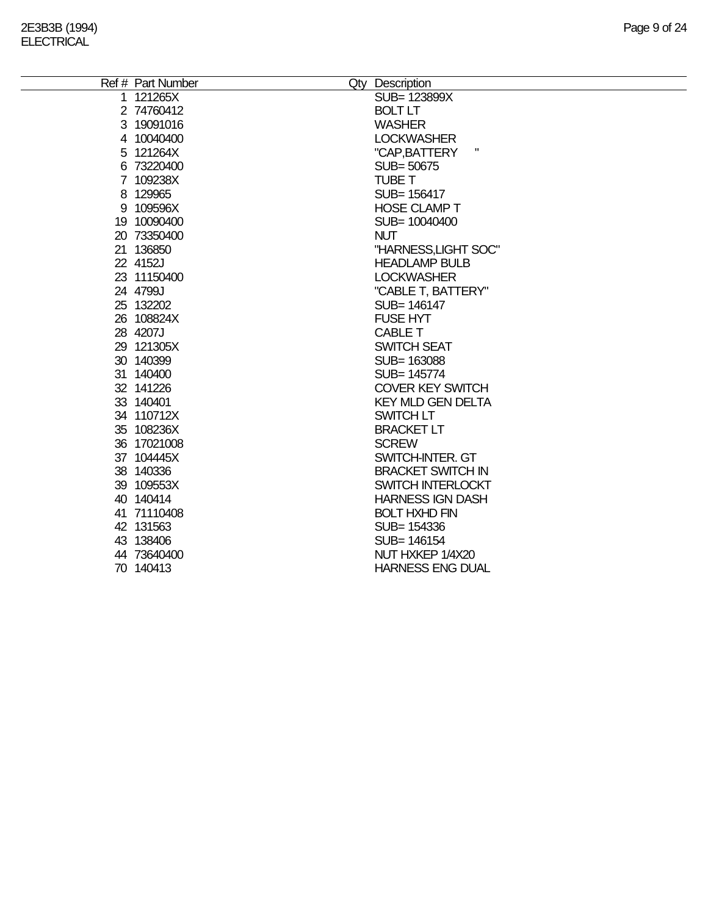| Ref # Part Number | Qty Description          |
|-------------------|--------------------------|
| 1 121265X         | SUB= 123899X             |
| 2 74760412        | <b>BOLT LT</b>           |
| 3 19091016        | <b>WASHER</b>            |
| 4 10040400        | <b>LOCKWASHER</b>        |
| 5 121264X         | Ш<br>"CAP, BATTERY       |
| 6 73220400        | SUB= 50675               |
| 7 109238X         | TUBE T                   |
| 8 129965          | SUB= 156417              |
| 9 109596X         | <b>HOSE CLAMP T</b>      |
| 19 10090400       | SUB= 10040400            |
| 20 73350400       | <b>NUT</b>               |
| 21 136850         | "HARNESS, LIGHT SOC"     |
| 22 4152J          | <b>HEADLAMP BULB</b>     |
| 23 11150400       | <b>LOCKWASHER</b>        |
| 24 4799J          | "CABLE T, BATTERY"       |
| 25 132202         | SUB= 146147              |
| 26 108824X        | <b>FUSE HYT</b>          |
| 28 4207J          | <b>CABLE T</b>           |
| 29 121305X        | <b>SWITCH SEAT</b>       |
| 30 140399         | SUB= 163088              |
| 31 140400         | SUB= 145774              |
| 32 141226         | <b>COVER KEY SWITCH</b>  |
| 33 140401         | <b>KEY MLD GEN DELTA</b> |
| 34 110712X        | SWITCH LT                |
| 35 108236X        | <b>BRACKET LT</b>        |
| 36 17021008       | <b>SCREW</b>             |
| 37 104445X        | SWITCH-INTER. GT         |
| 38 140336         | <b>BRACKET SWITCH IN</b> |
| 39 109553X        | <b>SWITCH INTERLOCKT</b> |
| 40 140414         | <b>HARNESS IGN DASH</b>  |
| 41 71110408       | <b>BOLT HXHD FIN</b>     |
| 42 131563         | SUB= 154336              |
| 43 138406         | SUB= 146154              |
| 44 73640400       | NUT HXKEP 1/4X20         |
| 70 140413         | <b>HARNESS ENG DUAL</b>  |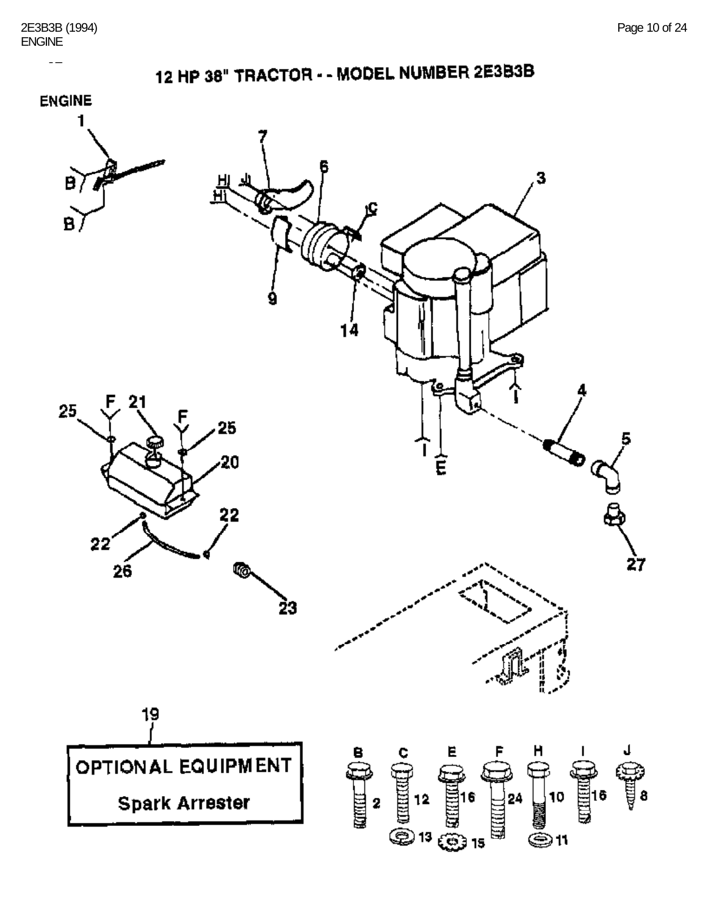$\overline{a}$ 



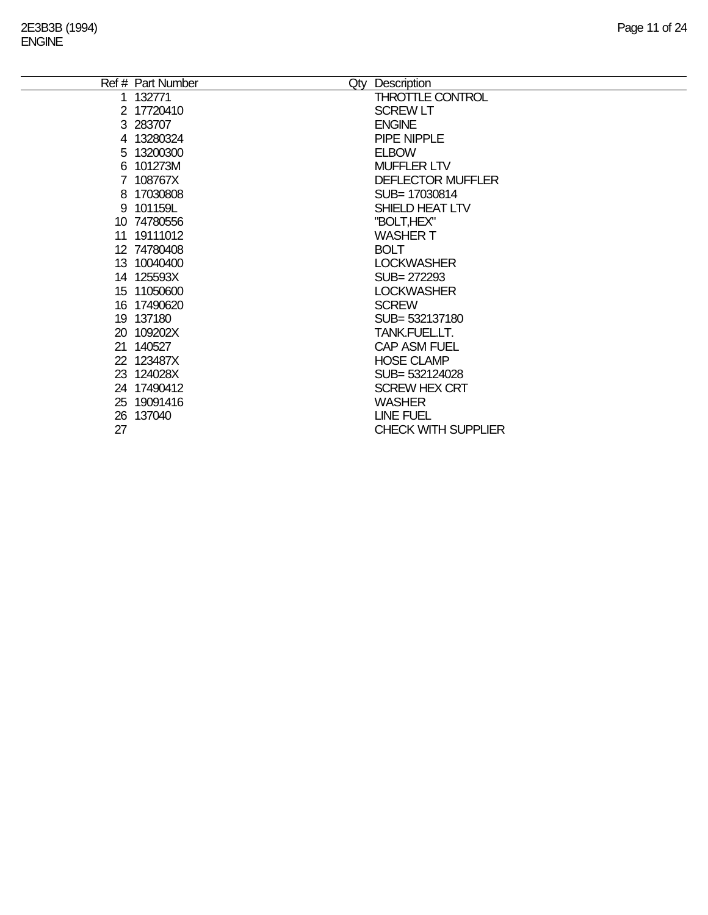|    | Ref # Part Number | Description<br>Qty         |
|----|-------------------|----------------------------|
|    | 1 132771          | <b>THROTTLE CONTROL</b>    |
|    | 2 17720410        | <b>SCREW LT</b>            |
|    | 3 283707          | <b>ENGINE</b>              |
|    | 4 13280324        | PIPE NIPPLE                |
|    | 5 13200300        | <b>ELBOW</b>               |
|    | 6 101273M         | <b>MUFFLER LTV</b>         |
|    | 7 108767X         | <b>DEFLECTOR MUFFLER</b>   |
|    | 8 17030808        | SUB=17030814               |
|    | 9 101159L         | SHIELD HEAT LTV            |
|    | 10 74780556       | "BOLT, HEX"                |
|    | 11 19111012       | <b>WASHER T</b>            |
|    | 12 74780408       | <b>BOLT</b>                |
|    | 13 10040400       | <b>LOCKWASHER</b>          |
|    | 14 125593X        | SUB= 272293                |
|    | 15 11050600       | <b>LOCKWASHER</b>          |
|    | 16 17490620       | <b>SCREW</b>               |
|    | 19 137180         | SUB= 532137180             |
|    | 20 109202X        | TANK.FUEL.LT.              |
|    | 21 140527         | <b>CAP ASM FUEL</b>        |
|    | 22 123487X        | <b>HOSE CLAMP</b>          |
|    | 23 124028X        | SUB= 532124028             |
|    | 24 17490412       | <b>SCREW HEX CRT</b>       |
|    | 25 19091416       | <b>WASHER</b>              |
|    | 26 137040         | <b>LINE FUEL</b>           |
| 27 |                   | <b>CHECK WITH SUPPLIER</b> |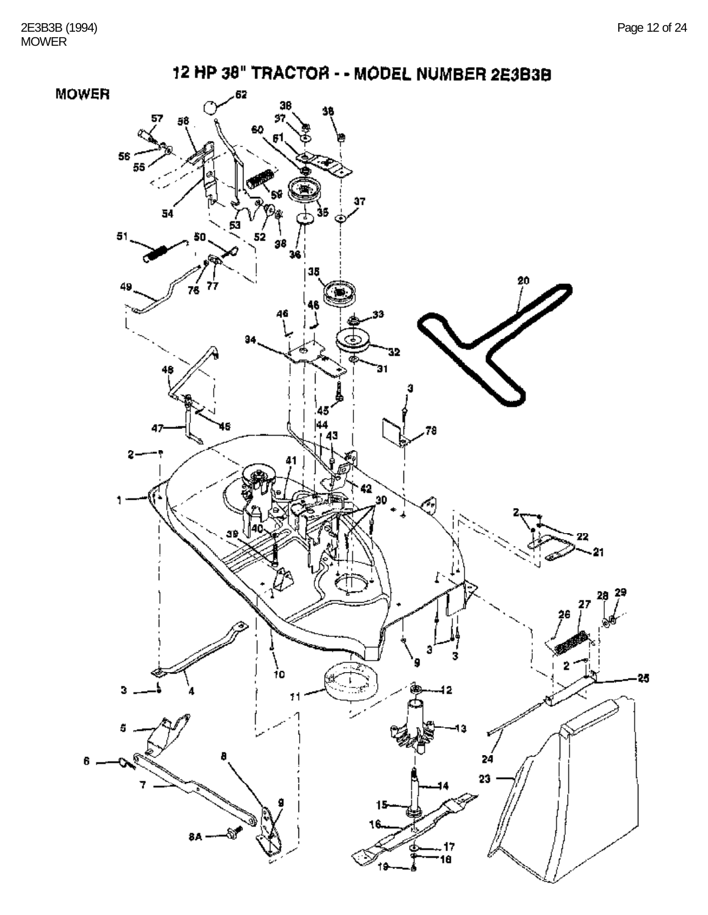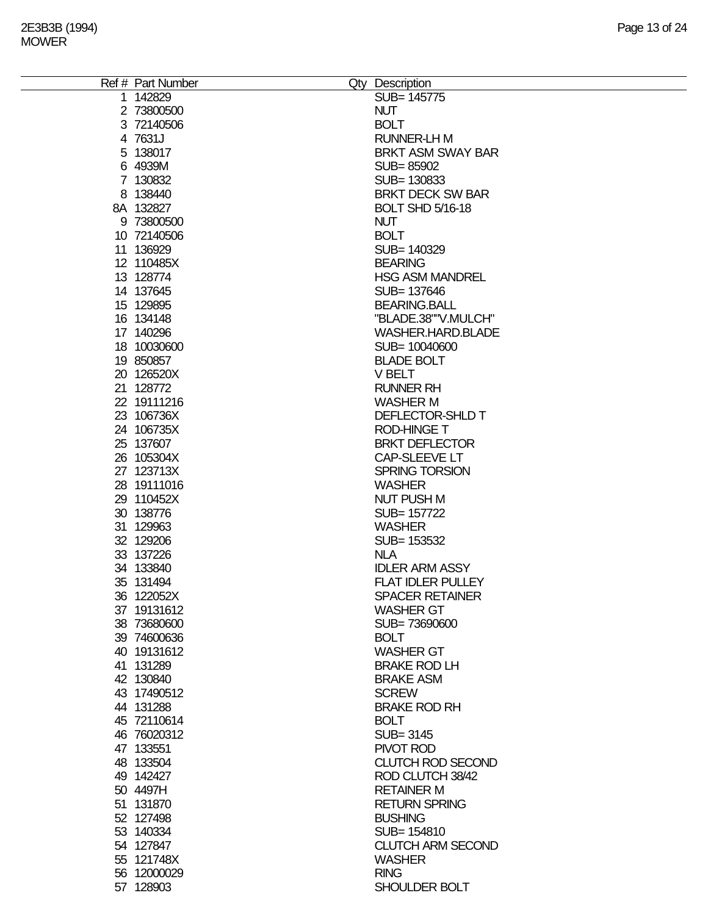| Ref # Part Number | Qty Description          |
|-------------------|--------------------------|
| 1 142829          | SUB= 145775              |
| 2 73800500        | <b>NUT</b>               |
| 3 72140506        | <b>BOLT</b>              |
| 4 7631J           | <b>RUNNER-LH M</b>       |
| 5 138017          | <b>BRKT ASM SWAY BAR</b> |
| 6 4939M           | SUB=85902                |
| 7 130832          | SUB=130833               |
| 8 138440          | <b>BRKT DECK SW BAR</b>  |
| 8A 132827         | <b>BOLT SHD 5/16-18</b>  |
| 9 73800500        | <b>NUT</b>               |
| 10 72140506       | <b>BOLT</b>              |
| 11 136929         | SUB= 140329              |
| 12 110485X        | <b>BEARING</b>           |
| 13 128774         | <b>HSG ASM MANDREL</b>   |
| 14 137645         | SUB= 137646              |
| 15 129895         | <b>BEARING.BALL</b>      |
| 16 134148         | "BLADE.38""V.MULCH"      |
|                   |                          |
| 17 140296         | WASHER.HARD.BLADE        |
| 18 10030600       | SUB= 10040600            |
| 19 850857         | <b>BLADE BOLT</b>        |
| 20 126520X        | V BELT                   |
| 21 128772         | <b>RUNNER RH</b>         |
| 22 19111216       | <b>WASHER M</b>          |
| 23 106736X        | DEFLECTOR-SHLD T         |
| 24 106735X        | <b>ROD-HINGE T</b>       |
| 25 137607         | <b>BRKT DEFLECTOR</b>    |
| 26 105304X        | CAP-SLEEVE LT            |
| 27 123713X        | <b>SPRING TORSION</b>    |
| 28 19111016       | <b>WASHER</b>            |
| 29 110452X        | <b>NUT PUSH M</b>        |
| 30 138776         | SUB= 157722              |
| 31 129963         | <b>WASHER</b>            |
| 32 129206         | SUB= 153532              |
| 33 137226         | <b>NLA</b>               |
| 34 133840         | <b>IDLER ARM ASSY</b>    |
| 35 131494         | <b>FLAT IDLER PULLEY</b> |
| 36 122052X        | <b>SPACER RETAINER</b>   |
| 37 19131612       | <b>WASHER GT</b>         |
| 38 73680600       | SUB=73690600             |
| 39 74600636       | <b>BOLT</b>              |
| 40 19131612       | <b>WASHER GT</b>         |
| 41 131289         | <b>BRAKE ROD LH</b>      |
| 42 130840         | <b>BRAKE ASM</b>         |
| 43 17490512       | <b>SCREW</b>             |
| 44 131288         | <b>BRAKE ROD RH</b>      |
| 45 72110614       | <b>BOLT</b>              |
| 46 76020312       | SUB= 3145                |
| 47 133551         | PIVOT ROD                |
| 48 133504         | <b>CLUTCH ROD SECOND</b> |
| 49 142427         | ROD CLUTCH 38/42         |
| 50 4497H          | <b>RETAINER M</b>        |
| 51 131870         | <b>RETURN SPRING</b>     |
| 52 127498         | <b>BUSHING</b>           |
| 53 140334         | SUB= 154810              |
| 54 127847         | <b>CLUTCH ARM SECOND</b> |
| 55 121748X        | <b>WASHER</b>            |
| 56 12000029       | <b>RING</b>              |
| 57 128903         | SHOULDER BOLT            |
|                   |                          |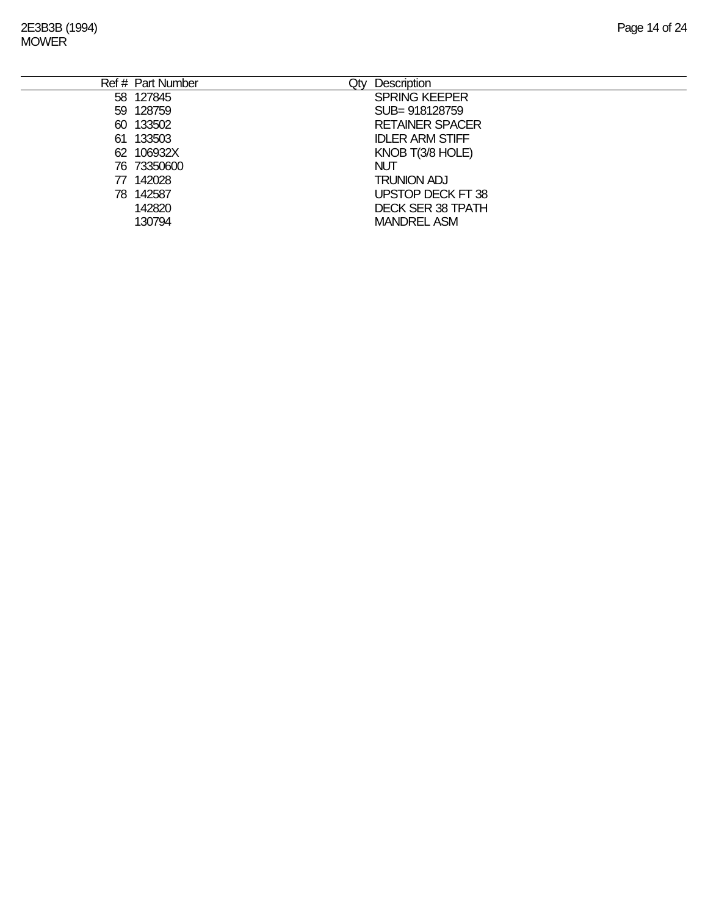|     | Ref # Part Number | Qty | <b>Description</b>       |
|-----|-------------------|-----|--------------------------|
|     | 58 127845         |     | <b>SPRING KEEPER</b>     |
|     | 59 128759         |     | SUB=918128759            |
|     | 60 133502         |     | <b>RETAINER SPACER</b>   |
| 61. | 133503            |     | <b>IDLER ARM STIFF</b>   |
|     | 62 106932X        |     | KNOB T(3/8 HOLE)         |
|     | 76 73350600       |     | <b>NUT</b>               |
|     | 77 142028         |     | <b>TRUNION ADJ</b>       |
|     | 78 142587         |     | UPSTOP DECK FT 38        |
|     | 142820            |     | <b>DECK SER 38 TPATH</b> |
|     | 130794            |     | <b>MANDREL ASM</b>       |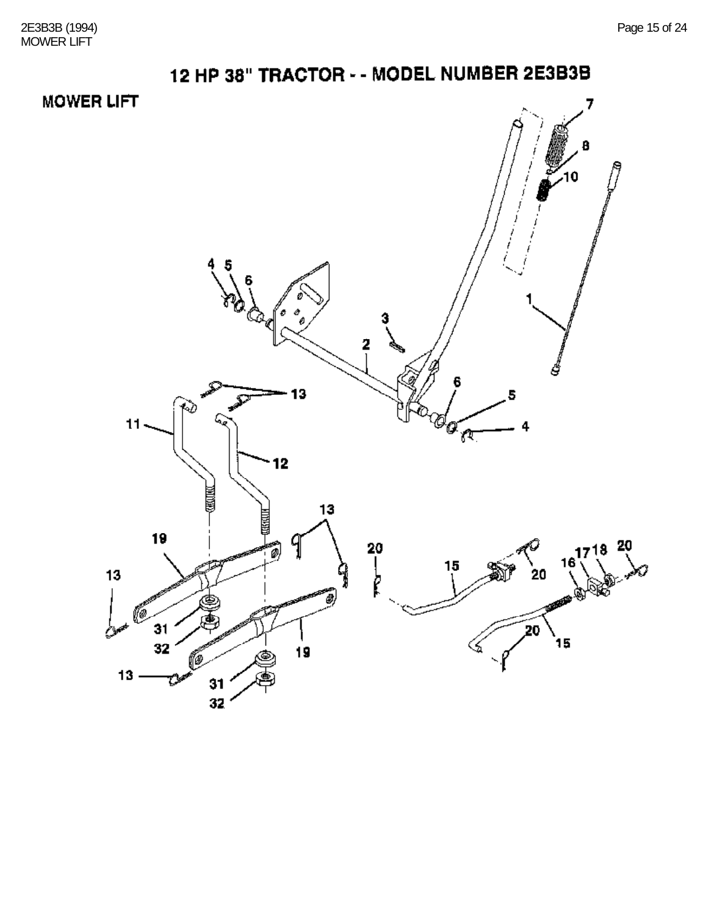# 12 HP 38" TRACTOR - - MODEL NUMBER 2E3B3B **MOWER LIFT** 7

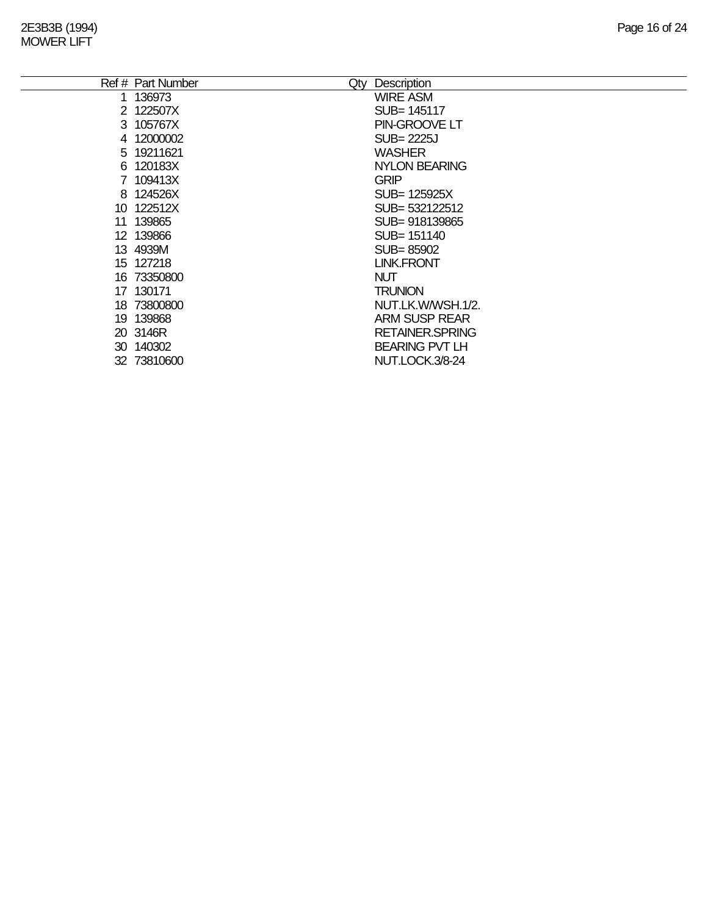|    | Ref # Part Number<br>Qty | Description             |
|----|--------------------------|-------------------------|
|    | 136973                   | <b>WIRE ASM</b>         |
|    | 2 122507X                | SUB= 145117             |
|    | 3 105767X                | PIN-GROOVE LT           |
|    | 4 12000002               | <b>SUB=2225J</b>        |
|    | 5 19211621               | <b>WASHER</b>           |
|    | 6 120183X                | <b>NYLON BEARING</b>    |
|    | 7 109413X                | <b>GRIP</b>             |
|    | 8 124526X                | SUB= 125925X            |
|    | 10 122512X               | SUB= 532122512          |
| 11 | 139865                   | SUB=918139865           |
|    | 12 139866                | SUB= 151140             |
|    | 13 4939M                 | SUB=85902               |
|    | 15 127218                | <b>LINK.FRONT</b>       |
|    | 16 73350800              | <b>NUT</b>              |
|    | 17 130171                | <b>TRUNION</b>          |
|    | 18 73800800              | NUT.LK.W/WSH.1/2.       |
|    | 19 139868                | ARM SUSP REAR           |
|    | 20 3146R                 | <b>RETAINER, SPRING</b> |
|    | 30 140302                | <b>BEARING PVT LH</b>   |
|    | 32 73810600              | NUT.LOCK.3/8-24         |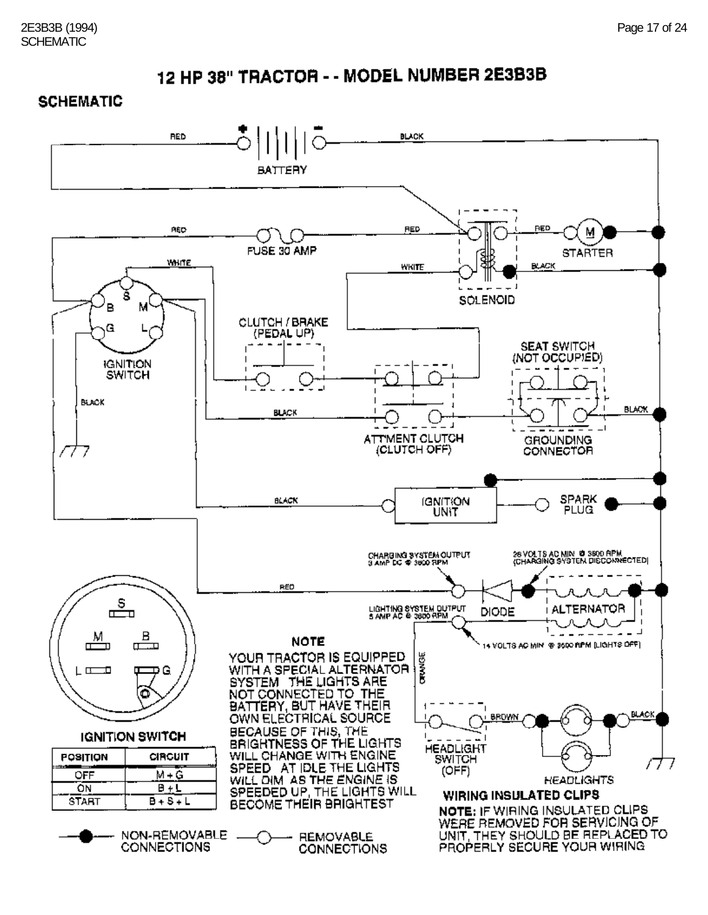#### **SCHEMATIC**

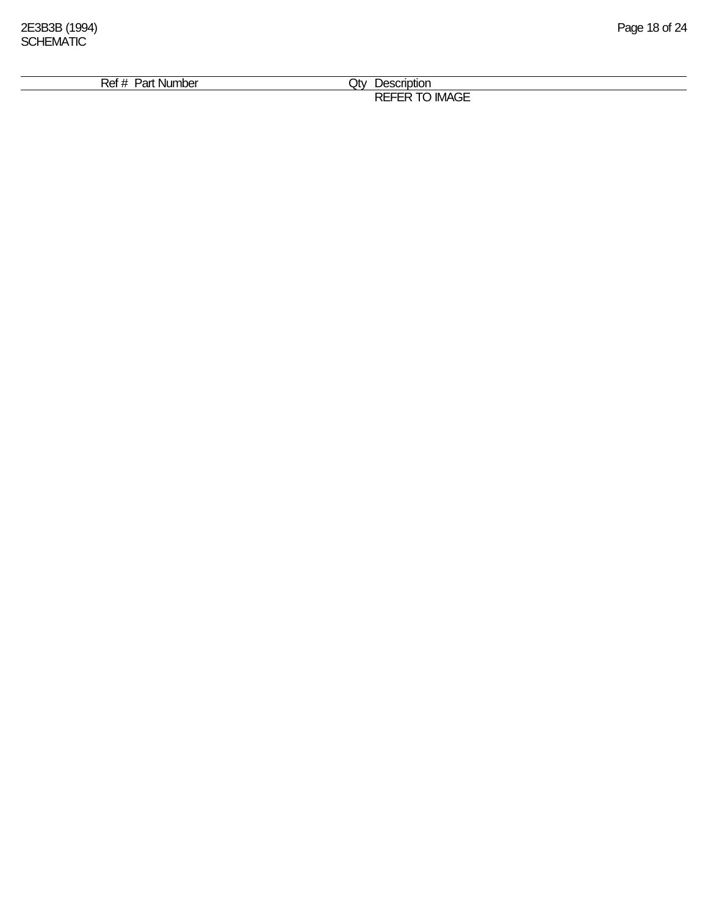| י הנ<br>Ni ir<br>7 M<br>тює.<br>ап | .Jtv<br>------<br>סמ<br>יי         |  |
|------------------------------------|------------------------------------|--|
|                                    |                                    |  |
|                                    | $\sim$ $-$<br>- -<br>IMAGE<br>ำ\∟. |  |
|                                    |                                    |  |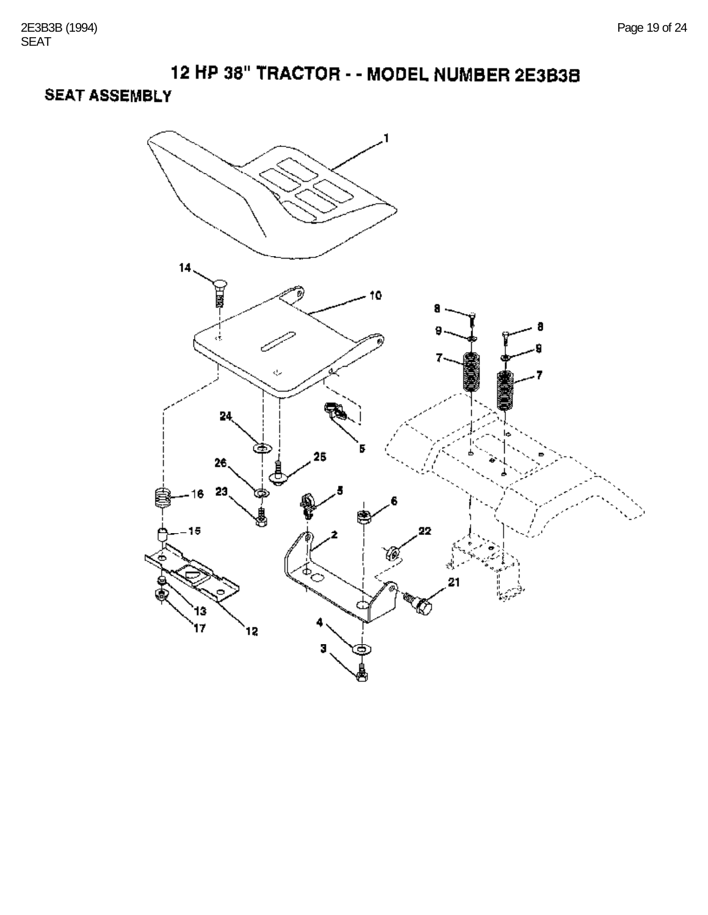**SEAT ASSEMBLY** 

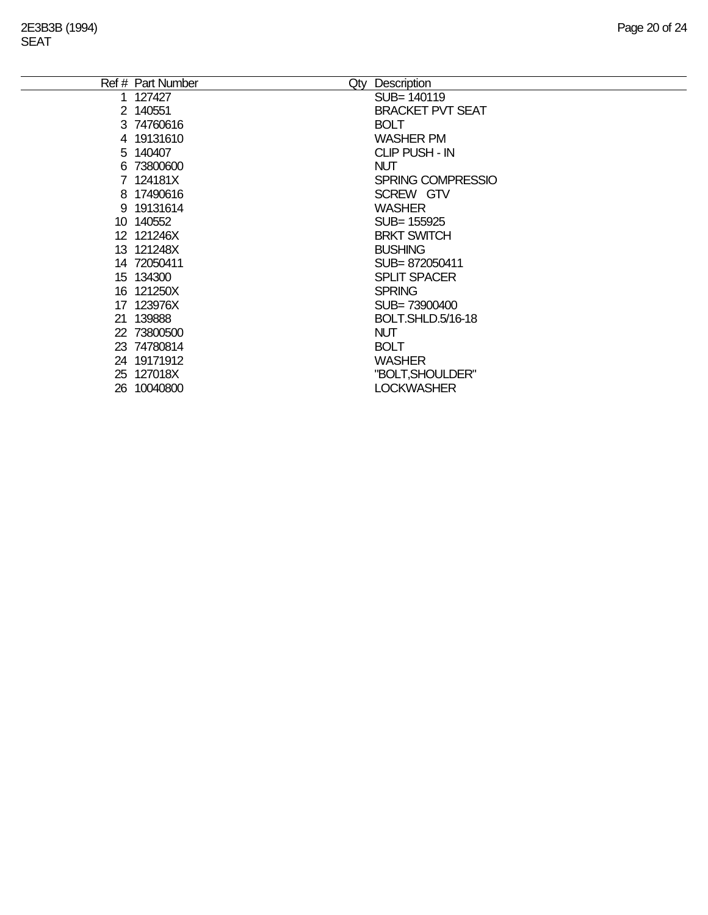| Ref # Part Number | Description<br>Qty       |
|-------------------|--------------------------|
| 1 127427          | SUB= 140119              |
| 2 140551          | <b>BRACKET PVT SEAT</b>  |
| 3 74760616        | <b>BOLT</b>              |
| 4 19131610        | <b>WASHER PM</b>         |
| 5 140407          | <b>CLIP PUSH - IN</b>    |
| 6 73800600        | <b>NUT</b>               |
| 7 124181X         | <b>SPRING COMPRESSIO</b> |
| 8 17490616        | SCREW GTV                |
| 9 19131614        | <b>WASHER</b>            |
| 10 140552         | SUB= 155925              |
| 12 121246X        | <b>BRKT SWITCH</b>       |
| 13 121248X        | <b>BUSHING</b>           |
| 14 72050411       | SUB=872050411            |
| 15 134300         | <b>SPLIT SPACER</b>      |
| 16 121250X        | <b>SPRING</b>            |
| 17 123976X        | SUB=73900400             |
| 21 139888         | BOLT.SHLD.5/16-18        |
| 22 73800500       | <b>NUT</b>               |
| 23 74780814       | <b>BOLT</b>              |
| 24 19171912       | <b>WASHER</b>            |
| 25 127018X        | "BOLT, SHOULDER"         |
| 26 10040800       | <b>LOCKWASHER</b>        |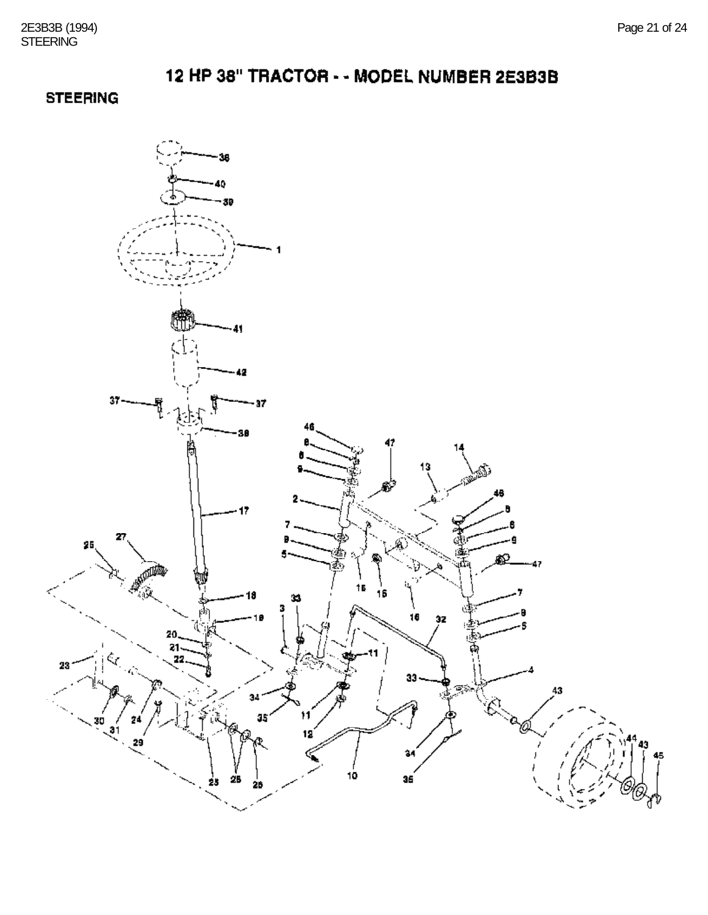## **STEERING**

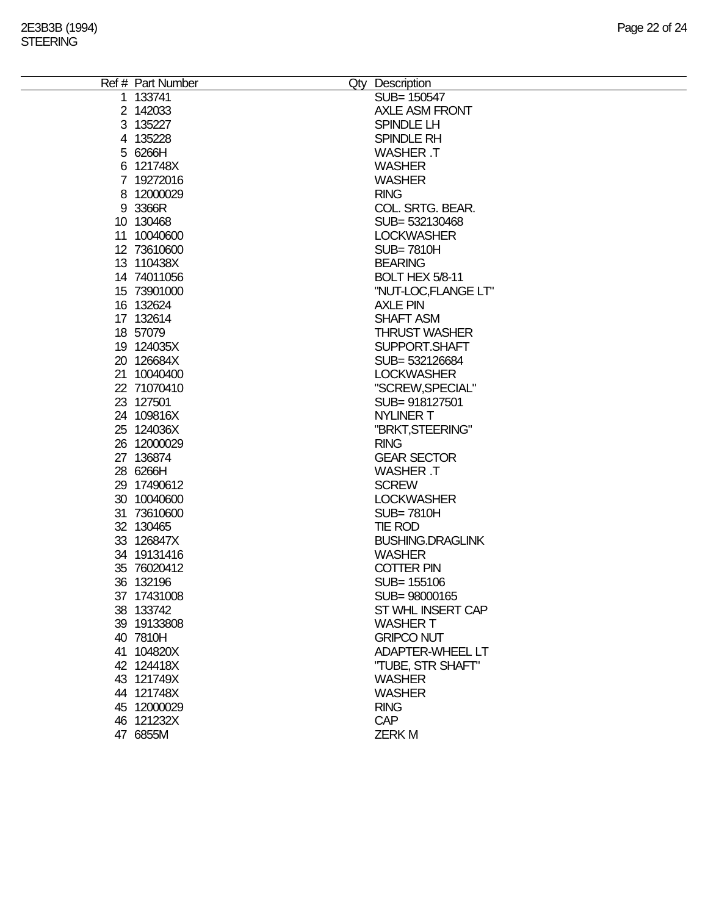| Ref # Part Number | Qty Description         |
|-------------------|-------------------------|
| 1 133741          | SUB= 150547             |
| 2 142033          | <b>AXLE ASM FRONT</b>   |
| 3 135227          | SPINDLE LH              |
| 4 135228          | SPINDLE RH              |
| 5 6266H           | <b>WASHER T</b>         |
| 6 121748X         | <b>WASHER</b>           |
| 7 19272016        | <b>WASHER</b>           |
| 8 12000029        | <b>RING</b>             |
| 9 3366R           | COL. SRTG. BEAR.        |
| 10 130468         | SUB= 532130468          |
| 11 10040600       | <b>LOCKWASHER</b>       |
| 12 73610600       | <b>SUB=7810H</b>        |
| 13 110438X        | <b>BEARING</b>          |
| 14 74011056       | BOLT HEX 5/8-11         |
| 15 73901000       | "NUT-LOC,FLANGE LT"     |
| 16 132624         | <b>AXLE PIN</b>         |
| 17 132614         | <b>SHAFT ASM</b>        |
| 18 57079          | <b>THRUST WASHER</b>    |
| 19 124035X        | SUPPORT.SHAFT           |
| 20 126684X        | SUB= 532126684          |
| 21 10040400       | <b>LOCKWASHER</b>       |
| 22 71070410       | "SCREW, SPECIAL"        |
| 23 127501         | SUB= 918127501          |
| 24 109816X        | <b>NYLINER T</b>        |
| 25 124036X        | "BRKT, STEERING"        |
| 26 12000029       | <b>RING</b>             |
| 27 136874         | <b>GEAR SECTOR</b>      |
| 28 6266H          | <b>WASHER T</b>         |
| 29 17490612       | <b>SCREW</b>            |
| 30 10040600       | <b>LOCKWASHER</b>       |
| 31 73610600       | <b>SUB=7810H</b>        |
| 32 130465         | TIE ROD                 |
| 33 126847X        | <b>BUSHING.DRAGLINK</b> |
| 34 19131416       | <b>WASHER</b>           |
| 35 76020412       | <b>COTTER PIN</b>       |
| 36 132196         | SUB= 155106             |
| 37 17431008       | SUB= 98000165           |
| 38 133742         | ST WHL INSERT CAP       |
| 39 19133808       | <b>WASHER T</b>         |
| 40 7810H          | <b>GRIPCO NUT</b>       |
| 41 104820X        | <b>ADAPTER-WHEEL LT</b> |
| 42 124418X        | "TUBE, STR SHAFT"       |
| 43 121749X        | <b>WASHER</b>           |
| 44 121748X        | <b>WASHER</b>           |
| 45 12000029       | <b>RING</b>             |
| 46 121232X        | <b>CAP</b>              |
| 47 6855M          | <b>ZERKM</b>            |
|                   |                         |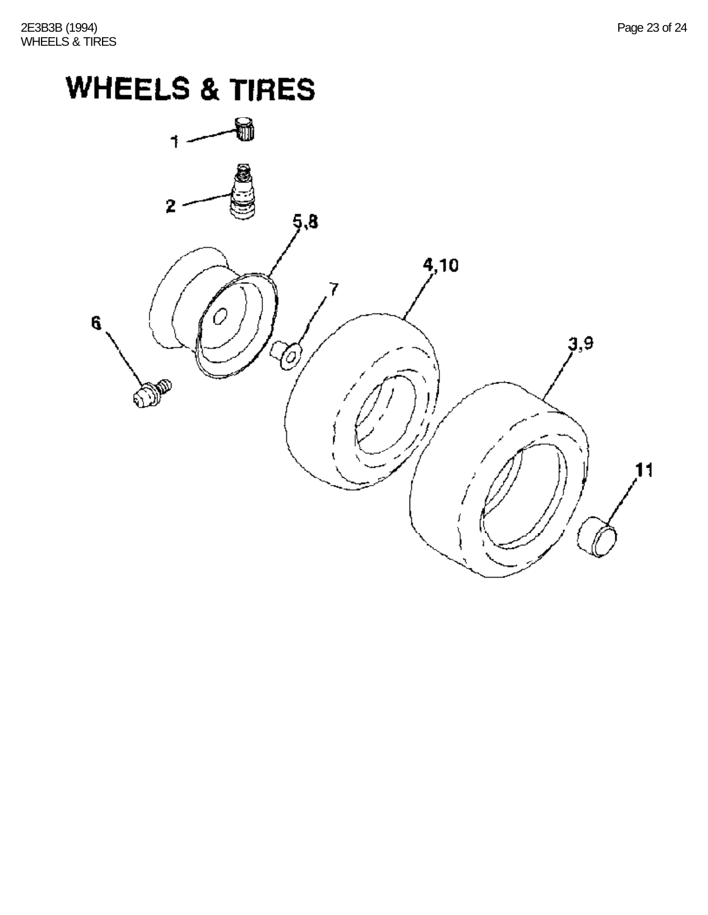# **WHEELS & TIRES**